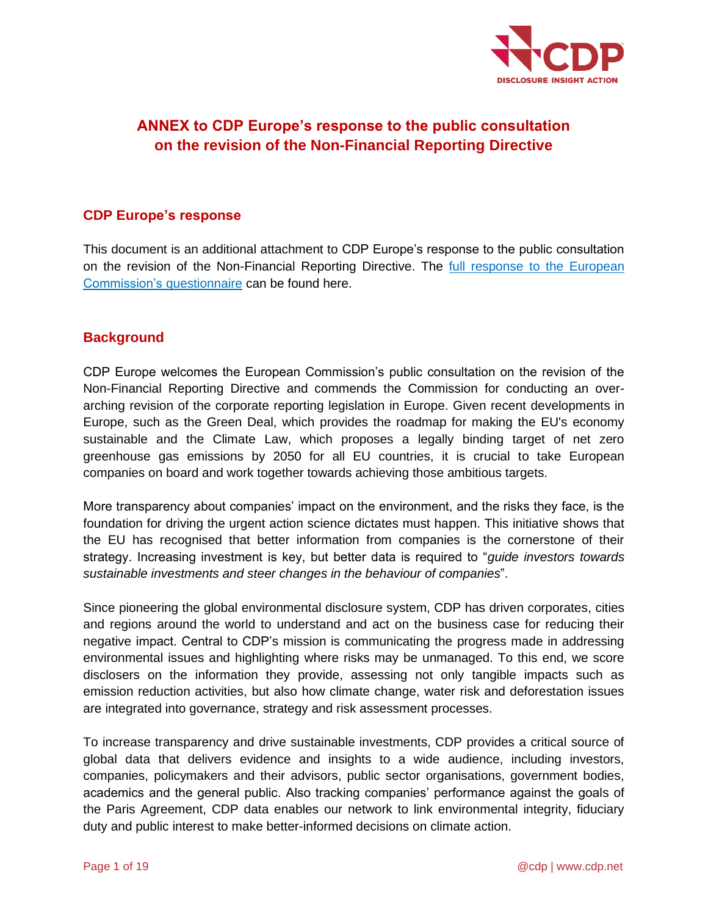

# **ANNEX to CDP Europe's response to the public consultation on the revision of the Non-Financial Reporting Directive**

### **CDP Europe's response**

This document is an additional attachment to CDP Europe's response to the public consultation on the revision of the Non-Financial Reporting Directive. The **full response to the European** [Commission's questionnaire](https://6fefcbb86e61af1b2fc4-c70d8ead6ced550b4d987d7c03fcdd1d.ssl.cf3.rackcdn.com/comfy/cms/files/files/000/003/459/original/CDP_response_to_the_public_consultation_on_revision_of_the_Non-Financial_Reporting_Directive.pdf) can be found here.

### **Background**

CDP Europe welcomes the European Commission's public consultation on the revision of the Non-Financial Reporting Directive and commends the Commission for conducting an overarching revision of the corporate reporting legislation in Europe. Given recent developments in Europe, such as the Green Deal, which provides the roadmap for making the EU's economy sustainable and the Climate Law, which proposes a legally binding target of net zero greenhouse gas emissions by 2050 for all EU countries, it is crucial to take European companies on board and work together towards achieving those ambitious targets.

More transparency about companies' impact on the environment, and the risks they face, is the foundation for driving the urgent action science dictates must happen. This initiative shows that the EU has recognised that better information from companies is the cornerstone of their strategy. Increasing investment is key, but better data is required to "*guide investors towards sustainable investments and steer changes in the behaviour of companies*".

Since pioneering the global environmental disclosure system, CDP has driven corporates, cities and regions around the world to understand and act on the business case for reducing their negative impact. Central to CDP's mission is communicating the progress made in addressing environmental issues and highlighting where risks may be unmanaged. To this end, we score disclosers on the information they provide, assessing not only tangible impacts such as emission reduction activities, but also how climate change, water risk and deforestation issues are integrated into governance, strategy and risk assessment processes.

To increase transparency and drive sustainable investments, CDP provides a critical source of global data that delivers evidence and insights to a wide audience, including investors, companies, policymakers and their advisors, public sector organisations, government bodies, academics and the general public. Also tracking companies' performance against the goals of the Paris Agreement, CDP data enables our network to link environmental integrity, fiduciary duty and public interest to make better-informed decisions on climate action.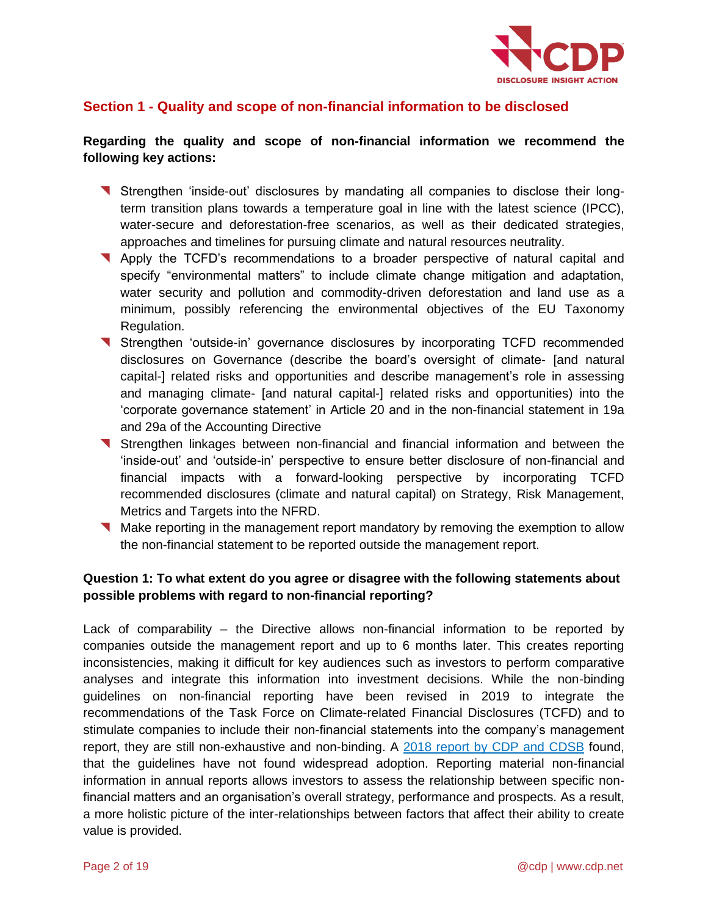

### **Section 1 - Quality and scope of non-financial information to be disclosed**

#### **Regarding the quality and scope of non-financial information we recommend the following key actions:**

- Strengthen 'inside-out' disclosures by mandating all companies to disclose their longterm transition plans towards a temperature goal in line with the latest science (IPCC), water-secure and deforestation-free scenarios, as well as their dedicated strategies, approaches and timelines for pursuing climate and natural resources neutrality.
- Apply the TCFD's recommendations to a broader perspective of natural capital and specify "environmental matters" to include climate change mitigation and adaptation, water security and pollution and commodity-driven deforestation and land use as a minimum, possibly referencing the environmental objectives of the EU Taxonomy Regulation.
- Strengthen 'outside-in' governance disclosures by incorporating TCFD recommended disclosures on Governance (describe the board's oversight of climate- [and natural capital-] related risks and opportunities and describe management's role in assessing and managing climate- [and natural capital-] related risks and opportunities) into the 'corporate governance statement' in Article 20 and in the non-financial statement in 19a and 29a of the Accounting Directive
- Strengthen linkages between non-financial and financial information and between the 'inside-out' and 'outside-in' perspective to ensure better disclosure of non-financial and financial impacts with a forward-looking perspective by incorporating TCFD recommended disclosures (climate and natural capital) on Strategy, Risk Management, Metrics and Targets into the NFRD.
- Make reporting in the management report mandatory by removing the exemption to allow the non-financial statement to be reported outside the management report.

#### **Question 1: To what extent do you agree or disagree with the following statements about possible problems with regard to non-financial reporting?**

Lack of comparability – the Directive allows non-financial information to be reported by companies outside the management report and up to 6 months later. This creates reporting inconsistencies, making it difficult for key audiences such as investors to perform comparative analyses and integrate this information into investment decisions. While the non-binding guidelines on non-financial reporting have been revised in 2019 to integrate the recommendations of the Task Force on Climate-related Financial Disclosures (TCFD) and to stimulate companies to include their non-financial statements into the company's management report, they are still non-exhaustive and non-binding. A [2018 report by CDP and CDSB](https://cdsb.net/sites/default/files/cdsb_nfrd_first_steps_2018.pdf) found, that the guidelines have not found widespread adoption. Reporting material non-financial information in annual reports allows investors to assess the relationship between specific nonfinancial matters and an organisation's overall strategy, performance and prospects. As a result, a more holistic picture of the inter-relationships between factors that affect their ability to create value is provided.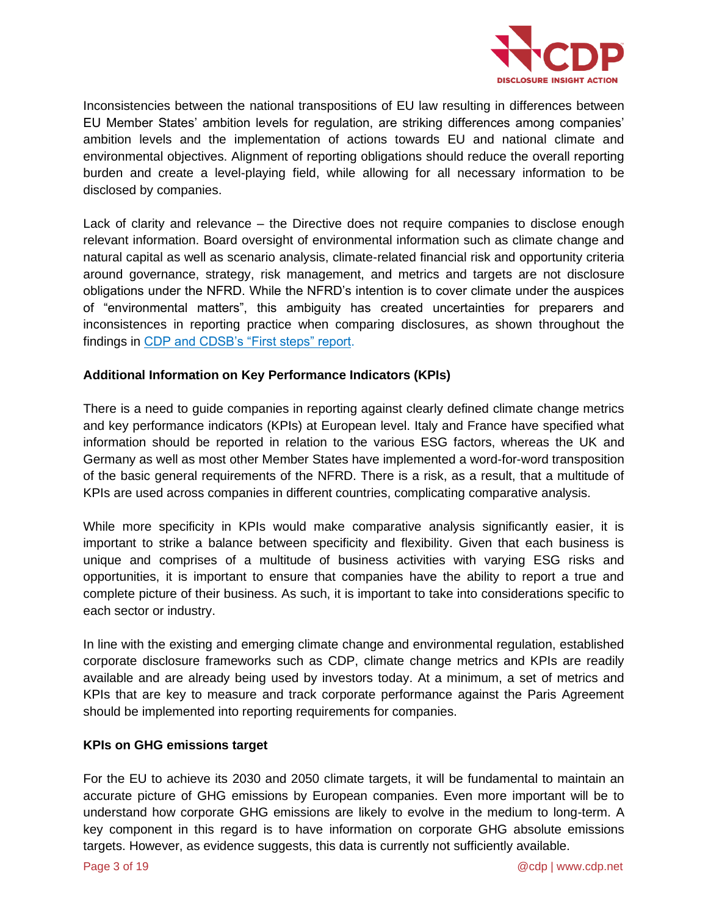

Inconsistencies between the national transpositions of EU law resulting in differences between EU Member States' ambition levels for regulation, are striking differences among companies' ambition levels and the implementation of actions towards EU and national climate and environmental objectives. Alignment of reporting obligations should reduce the overall reporting burden and create a level-playing field, while allowing for all necessary information to be disclosed by companies.

Lack of clarity and relevance – the Directive does not require companies to disclose enough relevant information. Board oversight of environmental information such as climate change and natural capital as well as scenario analysis, climate-related financial risk and opportunity criteria around governance, strategy, risk management, and metrics and targets are not disclosure obligations under the NFRD. While the NFRD's intention is to cover climate under the auspices of "environmental matters", this ambiguity has created uncertainties for preparers and inconsistences in reporting practice when comparing disclosures, as shown throughout the findings in [CDP and CDSB's "First steps" report.](https://cdsb.net/sites/default/files/cdsb_nfrd_first_steps_2018.pdf)

#### **Additional Information on Key Performance Indicators (KPIs)**

There is a need to guide companies in reporting against clearly defined climate change metrics and key performance indicators (KPIs) at European level. Italy and France have specified what information should be reported in relation to the various ESG factors, whereas the UK and Germany as well as most other Member States have implemented a word-for-word transposition of the basic general requirements of the NFRD. There is a risk, as a result, that a multitude of KPIs are used across companies in different countries, complicating comparative analysis.

While more specificity in KPIs would make comparative analysis significantly easier, it is important to strike a balance between specificity and flexibility. Given that each business is unique and comprises of a multitude of business activities with varying ESG risks and opportunities, it is important to ensure that companies have the ability to report a true and complete picture of their business. As such, it is important to take into considerations specific to each sector or industry.

In line with the existing and emerging climate change and environmental regulation, established corporate disclosure frameworks such as CDP, climate change metrics and KPIs are readily available and are already being used by investors today. At a minimum, a set of metrics and KPIs that are key to measure and track corporate performance against the Paris Agreement should be implemented into reporting requirements for companies.

#### **KPIs on GHG emissions target**

For the EU to achieve its 2030 and 2050 climate targets, it will be fundamental to maintain an accurate picture of GHG emissions by European companies. Even more important will be to understand how corporate GHG emissions are likely to evolve in the medium to long-term. A key component in this regard is to have information on corporate GHG absolute emissions targets. However, as evidence suggests, this data is currently not sufficiently available.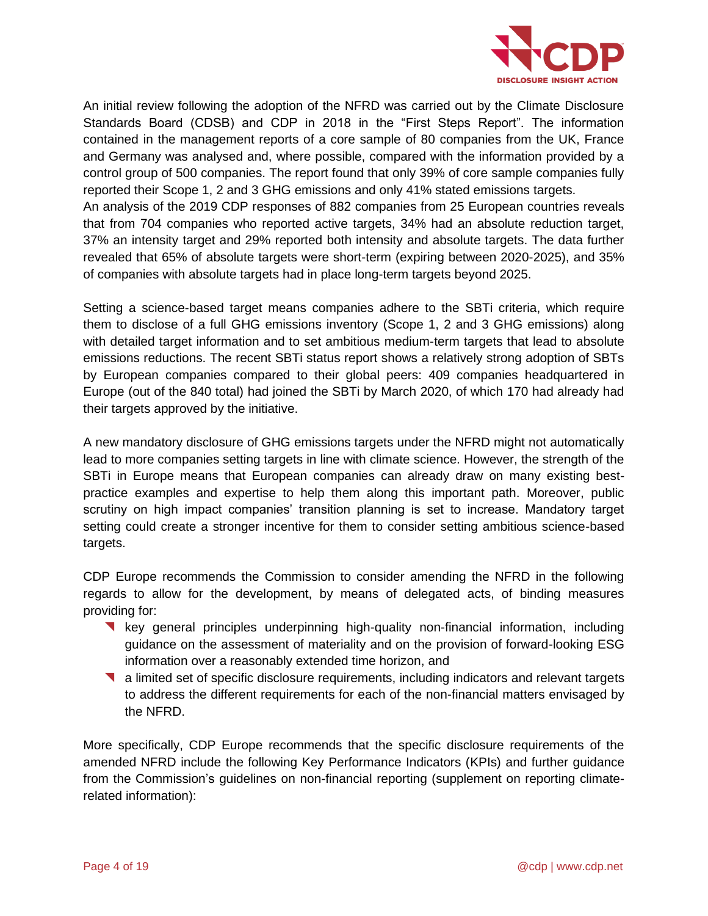

An initial review following the adoption of the NFRD was carried out by the Climate Disclosure Standards Board (CDSB) and CDP in 2018 in the "First Steps Report". The information contained in the management reports of a core sample of 80 companies from the UK, France and Germany was analysed and, where possible, compared with the information provided by a control group of 500 companies. The report found that only 39% of core sample companies fully reported their Scope 1, 2 and 3 GHG emissions and only 41% stated emissions targets.

An analysis of the 2019 CDP responses of 882 companies from 25 European countries reveals that from 704 companies who reported active targets, 34% had an absolute reduction target, 37% an intensity target and 29% reported both intensity and absolute targets. The data further revealed that 65% of absolute targets were short-term (expiring between 2020-2025), and 35% of companies with absolute targets had in place long-term targets beyond 2025.

Setting a science-based target means companies adhere to the SBTi criteria, which require them to disclose of a full GHG emissions inventory (Scope 1, 2 and 3 GHG emissions) along with detailed target information and to set ambitious medium-term targets that lead to absolute emissions reductions. The recent SBTi status report shows a relatively strong adoption of SBTs by European companies compared to their global peers: 409 companies headquartered in Europe (out of the 840 total) had joined the SBTi by March 2020, of which 170 had already had their targets approved by the initiative.

A new mandatory disclosure of GHG emissions targets under the NFRD might not automatically lead to more companies setting targets in line with climate science. However, the strength of the SBTi in Europe means that European companies can already draw on many existing bestpractice examples and expertise to help them along this important path. Moreover, public scrutiny on high impact companies' transition planning is set to increase. Mandatory target setting could create a stronger incentive for them to consider setting ambitious science-based targets.

CDP Europe recommends the Commission to consider amending the NFRD in the following regards to allow for the development, by means of delegated acts, of binding measures providing for:

- **Key general principles underpinning high-quality non-financial information, including** guidance on the assessment of materiality and on the provision of forward-looking ESG information over a reasonably extended time horizon, and
- a limited set of specific disclosure requirements, including indicators and relevant targets to address the different requirements for each of the non-financial matters envisaged by the NFRD.

More specifically, CDP Europe recommends that the specific disclosure requirements of the amended NFRD include the following Key Performance Indicators (KPIs) and further guidance from the Commission's guidelines on non-financial reporting (supplement on reporting climaterelated information):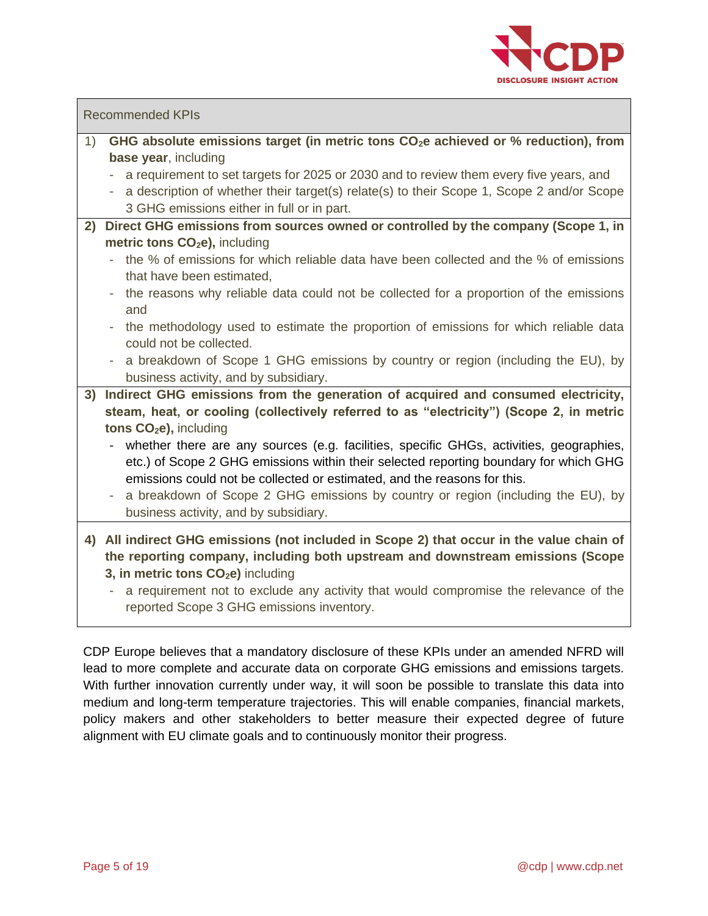

#### Recommended KPIs

- 1) **GHG absolute emissions target (in metric tons CO2e achieved or % reduction), from base year**, including
	- a requirement to set targets for 2025 or 2030 and to review them every five years, and
	- a description of whether their target(s) relate(s) to their Scope 1, Scope 2 and/or Scope 3 GHG emissions either in full or in part.
- **2) Direct GHG emissions from sources owned or controlled by the company (Scope 1, in metric tons CO2e),** including
	- the % of emissions for which reliable data have been collected and the % of emissions that have been estimated,
	- the reasons why reliable data could not be collected for a proportion of the emissions and
	- the methodology used to estimate the proportion of emissions for which reliable data could not be collected.
	- a breakdown of Scope 1 GHG emissions by country or region (including the EU), by business activity, and by subsidiary.
- **3) Indirect GHG emissions from the generation of acquired and consumed electricity, steam, heat, or cooling (collectively referred to as "electricity") (Scope 2, in metric tons CO2e),** including
	- whether there are any sources (e.g. facilities, specific GHGs, activities, geographies, etc.) of Scope 2 GHG emissions within their selected reporting boundary for which GHG emissions could not be collected or estimated, and the reasons for this.
	- a breakdown of Scope 2 GHG emissions by country or region (including the EU), by business activity, and by subsidiary.
- **4) All indirect GHG emissions (not included in Scope 2) that occur in the value chain of the reporting company, including both upstream and downstream emissions (Scope 3, in metric tons CO2e)** including
	- a requirement not to exclude any activity that would compromise the relevance of the reported Scope 3 GHG emissions inventory.

CDP Europe believes that a mandatory disclosure of these KPIs under an amended NFRD will lead to more complete and accurate data on corporate GHG emissions and emissions targets. With further innovation currently under way, it will soon be possible to translate this data into medium and long-term temperature trajectories. This will enable companies, financial markets, policy makers and other stakeholders to better measure their expected degree of future alignment with EU climate goals and to continuously monitor their progress.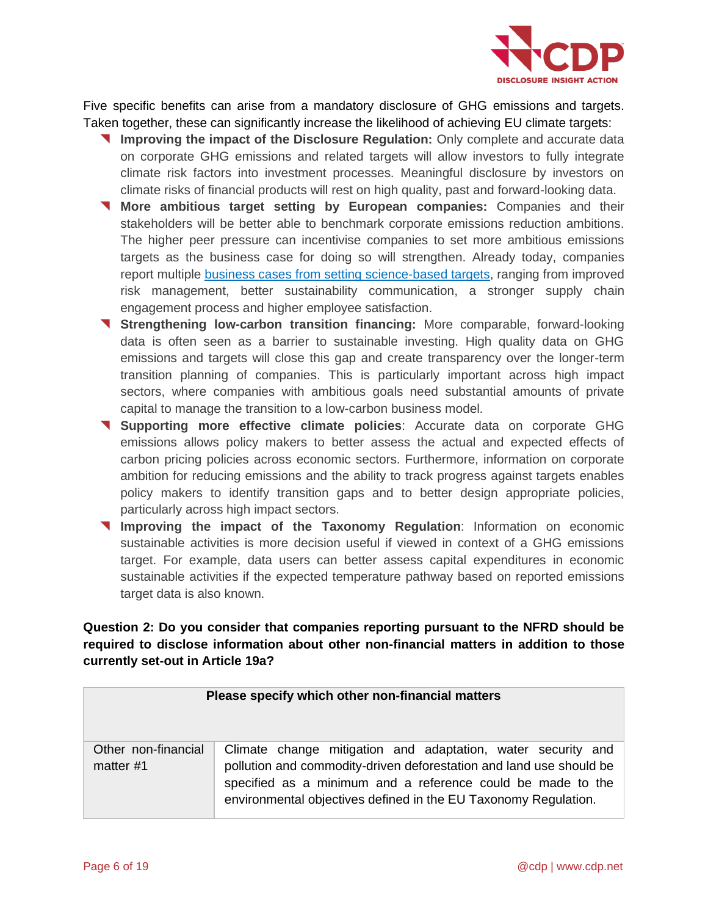

Five specific benefits can arise from a mandatory disclosure of GHG emissions and targets. Taken together, these can significantly increase the likelihood of achieving EU climate targets:

- **Improving the impact of the Disclosure Regulation:** Only complete and accurate data on corporate GHG emissions and related targets will allow investors to fully integrate climate risk factors into investment processes. Meaningful disclosure by investors on climate risks of financial products will rest on high quality, past and forward-looking data.
- **More ambitious target setting by European companies:** Companies and their stakeholders will be better able to benchmark corporate emissions reduction ambitions. The higher peer pressure can incentivise companies to set more ambitious emissions targets as the business case for doing so will strengthen. Already today, companies report multiple [business cases from setting science-based targets,](https://sciencebasedtargets.org/case-studies-2/) ranging from improved risk management, better sustainability communication, a stronger supply chain engagement process and higher employee satisfaction.
- **Strengthening low-carbon transition financing:** More comparable, forward-looking data is often seen as a barrier to sustainable investing. High quality data on GHG emissions and targets will close this gap and create transparency over the longer-term transition planning of companies. This is particularly important across high impact sectors, where companies with ambitious goals need substantial amounts of private capital to manage the transition to a low-carbon business model.
- **Supporting more effective climate policies**: Accurate data on corporate GHG emissions allows policy makers to better assess the actual and expected effects of carbon pricing policies across economic sectors. Furthermore, information on corporate ambition for reducing emissions and the ability to track progress against targets enables policy makers to identify transition gaps and to better design appropriate policies, particularly across high impact sectors.
- **Improving the impact of the Taxonomy Regulation**: Information on economic sustainable activities is more decision useful if viewed in context of a GHG emissions target. For example, data users can better assess capital expenditures in economic sustainable activities if the expected temperature pathway based on reported emissions target data is also known.

### **Question 2: Do you consider that companies reporting pursuant to the NFRD should be required to disclose information about other non-financial matters in addition to those currently set-out in Article 19a?**

| Please specify which other non-financial matters |                                                                                                                                                                                                                                                                       |  |  |  |
|--------------------------------------------------|-----------------------------------------------------------------------------------------------------------------------------------------------------------------------------------------------------------------------------------------------------------------------|--|--|--|
| Other non-financial<br>matter $#1$               | Climate change mitigation and adaptation, water security and<br>pollution and commodity-driven deforestation and land use should be<br>specified as a minimum and a reference could be made to the<br>environmental objectives defined in the EU Taxonomy Regulation. |  |  |  |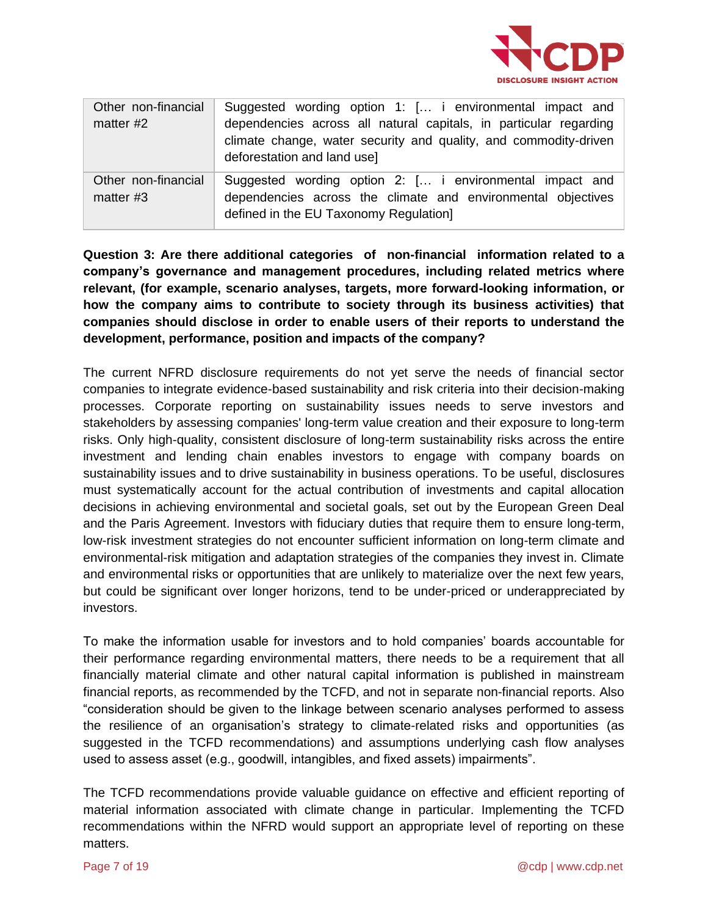

| Other non-financial<br>matter $#2$ | Suggested wording option 1: [ i environmental impact and<br>dependencies across all natural capitals, in particular regarding<br>climate change, water security and quality, and commodity-driven<br>deforestation and land use] |
|------------------------------------|----------------------------------------------------------------------------------------------------------------------------------------------------------------------------------------------------------------------------------|
| Other non-financial<br>matter #3   | Suggested wording option 2: [ i environmental impact and<br>dependencies across the climate and environmental objectives<br>defined in the EU Taxonomy Regulation]                                                               |

**Question 3: Are there additional categories of non-financial information related to a company's governance and management procedures, including related metrics where relevant, (for example, scenario analyses, targets, more forward-looking information, or how the company aims to contribute to society through its business activities) that companies should disclose in order to enable users of their reports to understand the development, performance, position and impacts of the company?**

The current NFRD disclosure requirements do not yet serve the needs of financial sector companies to integrate evidence-based sustainability and risk criteria into their decision-making processes. Corporate reporting on sustainability issues needs to serve investors and stakeholders by assessing companies' long-term value creation and their exposure to long-term risks. Only high-quality, consistent disclosure of long-term sustainability risks across the entire investment and lending chain enables investors to engage with company boards on sustainability issues and to drive sustainability in business operations. To be useful, disclosures must systematically account for the actual contribution of investments and capital allocation decisions in achieving environmental and societal goals, set out by the European Green Deal and the Paris Agreement. Investors with fiduciary duties that require them to ensure long-term, low-risk investment strategies do not encounter sufficient information on long-term climate and environmental-risk mitigation and adaptation strategies of the companies they invest in. Climate and environmental risks or opportunities that are unlikely to materialize over the next few years, but could be significant over longer horizons, tend to be under-priced or underappreciated by investors.

To make the information usable for investors and to hold companies' boards accountable for their performance regarding environmental matters, there needs to be a requirement that all financially material climate and other natural capital information is published in mainstream financial reports, as recommended by the TCFD, and not in separate non-financial reports. Also "consideration should be given to the linkage between scenario analyses performed to assess the resilience of an organisation's strategy to climate-related risks and opportunities (as suggested in the TCFD recommendations) and assumptions underlying cash flow analyses used to assess asset (e.g., goodwill, intangibles, and fixed assets) impairments".

The TCFD recommendations provide valuable guidance on effective and efficient reporting of material information associated with climate change in particular. Implementing the TCFD recommendations within the NFRD would support an appropriate level of reporting on these matters.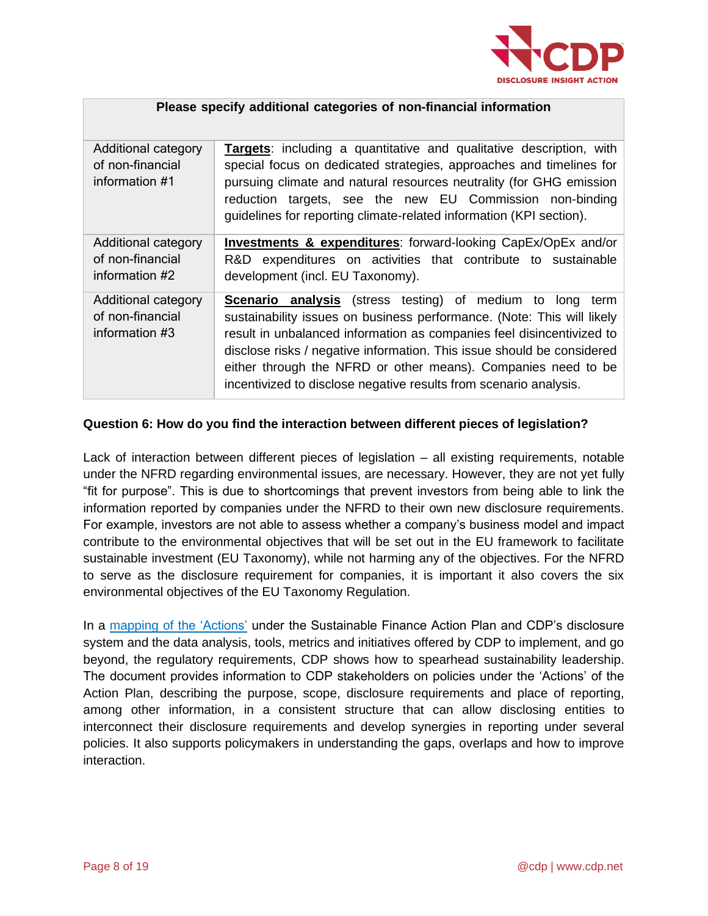

| Please specify additional categories of non-financial information |                                                                                                                                                                                                                                                                                                                                                                                                                                        |  |  |  |
|-------------------------------------------------------------------|----------------------------------------------------------------------------------------------------------------------------------------------------------------------------------------------------------------------------------------------------------------------------------------------------------------------------------------------------------------------------------------------------------------------------------------|--|--|--|
| Additional category<br>of non-financial<br>information #1         | <b>Targets:</b> including a quantitative and qualitative description, with<br>special focus on dedicated strategies, approaches and timelines for<br>pursuing climate and natural resources neutrality (for GHG emission<br>reduction targets, see the new EU Commission non-binding<br>guidelines for reporting climate-related information (KPI section).                                                                            |  |  |  |
| Additional category<br>of non-financial<br>information #2         | <b>Investments &amp; expenditures:</b> forward-looking CapEx/OpEx and/or<br>R&D expenditures on activities that contribute to sustainable<br>development (incl. EU Taxonomy).                                                                                                                                                                                                                                                          |  |  |  |
| Additional category<br>of non-financial<br>information #3         | <b>Scenario analysis</b> (stress testing) of medium to long<br>term<br>sustainability issues on business performance. (Note: This will likely<br>result in unbalanced information as companies feel disincentivized to<br>disclose risks / negative information. This issue should be considered<br>either through the NFRD or other means). Companies need to be<br>incentivized to disclose negative results from scenario analysis. |  |  |  |

#### **Question 6: How do you find the interaction between different pieces of legislation?**

Lack of interaction between different pieces of legislation – all existing requirements, notable under the NFRD regarding environmental issues, are necessary. However, they are not yet fully "fit for purpose". This is due to shortcomings that prevent investors from being able to link the information reported by companies under the NFRD to their own new disclosure requirements. For example, investors are not able to assess whether a company's business model and impact contribute to the environmental objectives that will be set out in the EU framework to facilitate sustainable investment (EU Taxonomy), while not harming any of the objectives. For the NFRD to serve as the disclosure requirement for companies, it is important it also covers the six environmental objectives of the EU Taxonomy Regulation.

In a mapping of [the 'Actions'](https://6fefcbb86e61af1b2fc4-c70d8ead6ced550b4d987d7c03fcdd1d.ssl.cf3.rackcdn.com/cms/reports/documents/000/004/725/original/SFAP_CDP_Mapping_Final_latest_April2020.pdf?1588673352) under the Sustainable Finance Action Plan and CDP's disclosure system and the data analysis, tools, metrics and initiatives offered by CDP to implement, and go beyond, the regulatory requirements, CDP shows how to spearhead sustainability leadership. The document provides information to CDP stakeholders on policies under the 'Actions' of the Action Plan, describing the purpose, scope, disclosure requirements and place of reporting, among other information, in a consistent structure that can allow disclosing entities to interconnect their disclosure requirements and develop synergies in reporting under several policies. It also supports policymakers in understanding the gaps, overlaps and how to improve interaction.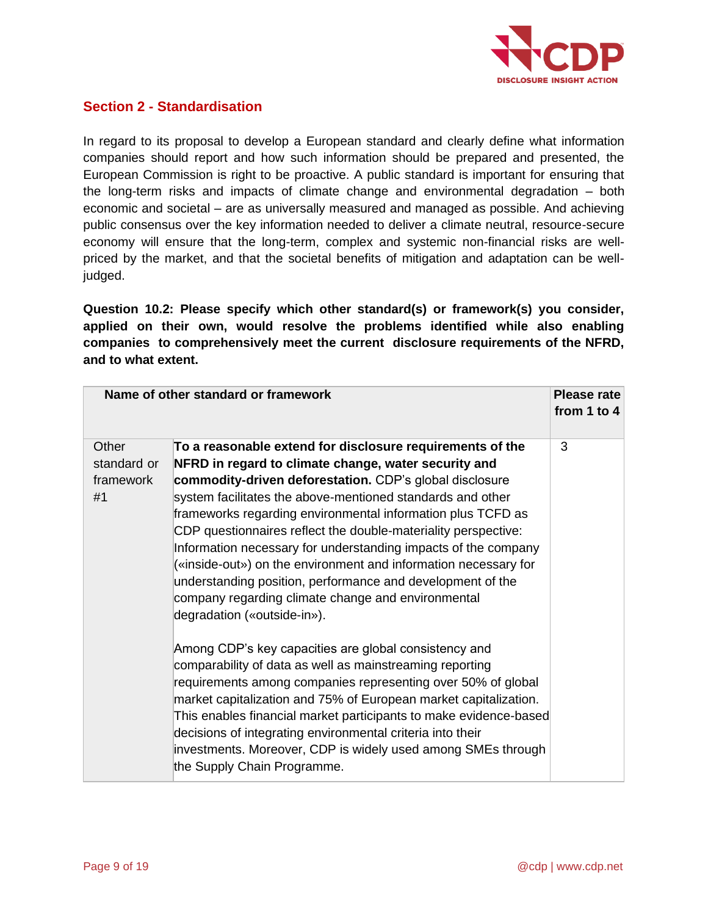

# **Section 2 - Standardisation**

In regard to its proposal to develop a European standard and clearly define what information companies should report and how such information should be prepared and presented, the European Commission is right to be proactive. A public standard is important for ensuring that the long-term risks and impacts of climate change and environmental degradation – both economic and societal – are as universally measured and managed as possible. And achieving public consensus over the key information needed to deliver a climate neutral, resource-secure economy will ensure that the long-term, complex and systemic non-financial risks are wellpriced by the market, and that the societal benefits of mitigation and adaptation can be welljudged.

**Question 10.2: Please specify which other standard(s) or framework(s) you consider, applied on their own, would resolve the problems identified while also enabling companies to comprehensively meet the current disclosure requirements of the NFRD, and to what extent.**

| Name of other standard or framework |                                                                   | <b>Please rate</b> |
|-------------------------------------|-------------------------------------------------------------------|--------------------|
|                                     |                                                                   | from 1 to 4        |
| Other                               | To a reasonable extend for disclosure requirements of the         | 3                  |
| standard or                         | NFRD in regard to climate change, water security and              |                    |
| framework                           | commodity-driven deforestation. CDP's global disclosure           |                    |
| #1                                  | system facilitates the above-mentioned standards and other        |                    |
|                                     | frameworks regarding environmental information plus TCFD as       |                    |
|                                     | CDP questionnaires reflect the double-materiality perspective:    |                    |
|                                     | Information necessary for understanding impacts of the company    |                    |
|                                     | («inside-out») on the environment and information necessary for   |                    |
|                                     | understanding position, performance and development of the        |                    |
|                                     | company regarding climate change and environmental                |                    |
|                                     | degradation («outside-in»).                                       |                    |
|                                     | Among CDP's key capacities are global consistency and             |                    |
|                                     | comparability of data as well as mainstreaming reporting          |                    |
|                                     | requirements among companies representing over 50% of global      |                    |
|                                     | market capitalization and 75% of European market capitalization.  |                    |
|                                     | This enables financial market participants to make evidence-based |                    |
|                                     | decisions of integrating environmental criteria into their        |                    |
|                                     | investments. Moreover, CDP is widely used among SMEs through      |                    |
|                                     | the Supply Chain Programme.                                       |                    |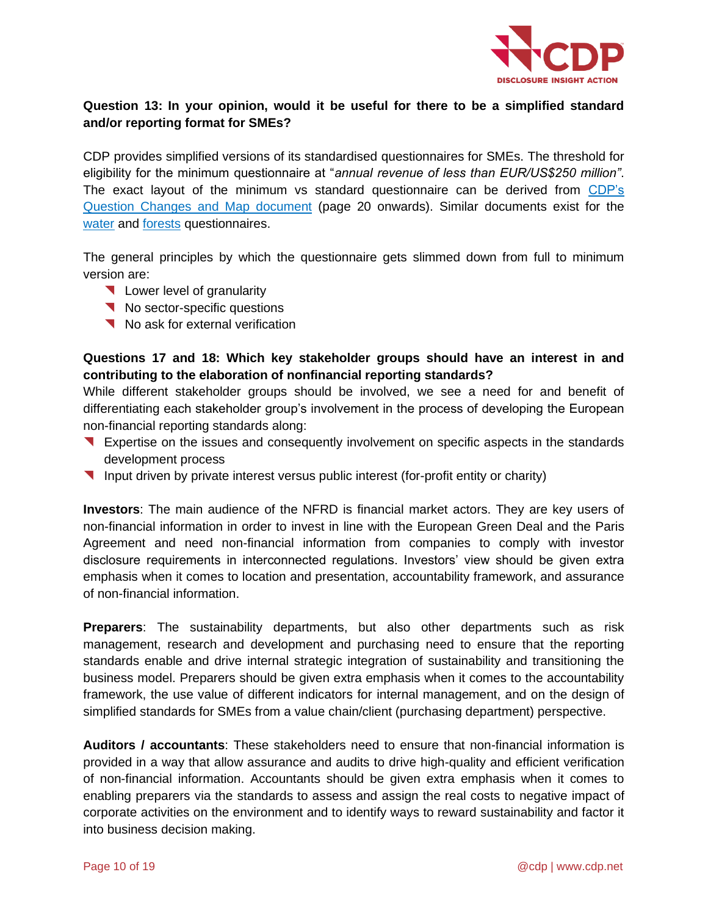

# **Question 13: In your opinion, would it be useful for there to be a simplified standard and/or reporting format for SMEs?**

CDP provides simplified versions of its standardised questionnaires for SMEs. The threshold for eligibility for the minimum questionnaire at "*annual revenue of less than EUR/US\$250 million"*. The exact layout of the minimum vs standard questionnaire can be derived from CDP's [Question Changes and Map document](https://6fefcbb86e61af1b2fc4-c70d8ead6ced550b4d987d7c03fcdd1d.ssl.cf3.rackcdn.com/cms/guidance_docs/pdfs/000/000/480/original/CDP-climate-change-changes-document.pdf?1579626431) (page 20 onwards). Similar documents exist for the [water](https://6fefcbb86e61af1b2fc4-c70d8ead6ced550b4d987d7c03fcdd1d.ssl.cf3.rackcdn.com/cms/guidance_docs/pdfs/000/000/478/original/CDP-water-changes-document.pdf?1579626185) and [forests](https://b8f65cb373b1b7b15feb-c70d8ead6ced550b4d987d7c03fcdd1d.ssl.cf3.rackcdn.com/cms/guidance_docs/pdfs/000/000/479/original/CDP-forests-changes-document.pdf?1518702840) questionnaires.

The general principles by which the questionnaire gets slimmed down from full to minimum version are:

- **Lower level of granularity**
- No sector-specific questions
- No ask for external verification

### **Questions 17 and 18: Which key stakeholder groups should have an interest in and contributing to the elaboration of nonfinancial reporting standards?**

While different stakeholder groups should be involved, we see a need for and benefit of differentiating each stakeholder group's involvement in the process of developing the European non-financial reporting standards along:

- Expertise on the issues and consequently involvement on specific aspects in the standards development process
- **Input driven by private interest versus public interest (for-profit entity or charity)**

**Investors**: The main audience of the NFRD is financial market actors. They are key users of non-financial information in order to invest in line with the European Green Deal and the Paris Agreement and need non-financial information from companies to comply with investor disclosure requirements in interconnected regulations. Investors' view should be given extra emphasis when it comes to location and presentation, accountability framework, and assurance of non-financial information.

**Preparers**: The sustainability departments, but also other departments such as risk management, research and development and purchasing need to ensure that the reporting standards enable and drive internal strategic integration of sustainability and transitioning the business model. Preparers should be given extra emphasis when it comes to the accountability framework, the use value of different indicators for internal management, and on the design of simplified standards for SMEs from a value chain/client (purchasing department) perspective.

**Auditors / accountants**: These stakeholders need to ensure that non-financial information is provided in a way that allow assurance and audits to drive high-quality and efficient verification of non-financial information. Accountants should be given extra emphasis when it comes to enabling preparers via the standards to assess and assign the real costs to negative impact of corporate activities on the environment and to identify ways to reward sustainability and factor it into business decision making.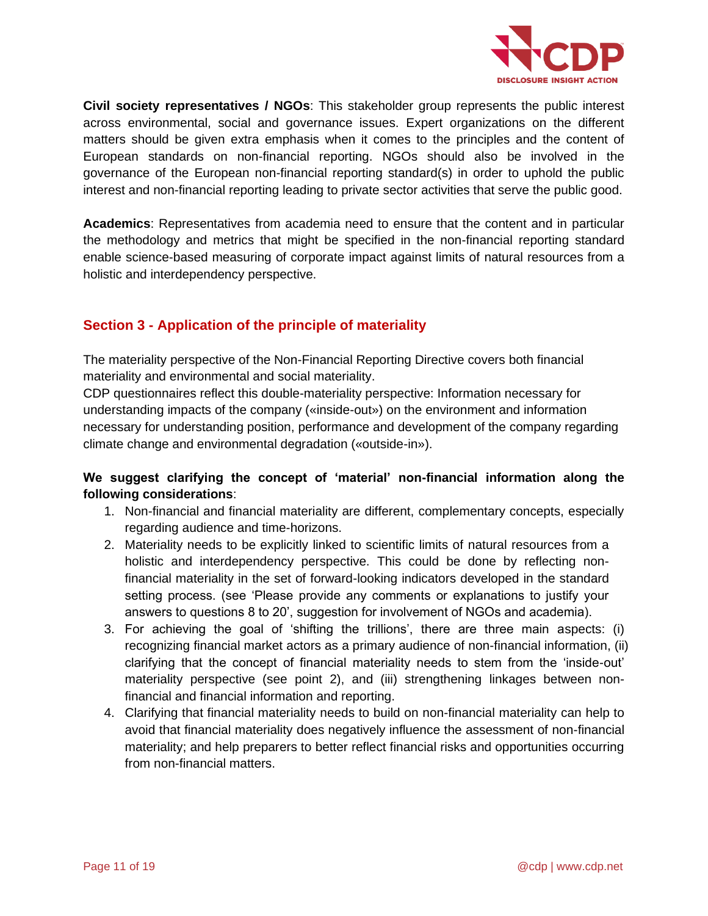

**Civil society representatives / NGOs**: This stakeholder group represents the public interest across environmental, social and governance issues. Expert organizations on the different matters should be given extra emphasis when it comes to the principles and the content of European standards on non-financial reporting. NGOs should also be involved in the governance of the European non-financial reporting standard(s) in order to uphold the public interest and non-financial reporting leading to private sector activities that serve the public good.

**Academics**: Representatives from academia need to ensure that the content and in particular the methodology and metrics that might be specified in the non-financial reporting standard enable science-based measuring of corporate impact against limits of natural resources from a holistic and interdependency perspective.

# **Section 3 - Application of the principle of materiality**

The materiality perspective of the Non-Financial Reporting Directive covers both financial materiality and environmental and social materiality.

CDP questionnaires reflect this double-materiality perspective: Information necessary for understanding impacts of the company («inside-out») on the environment and information necessary for understanding position, performance and development of the company regarding climate change and environmental degradation («outside-in»).

### **We suggest clarifying the concept of 'material' non-financial information along the following considerations**:

- 1. Non-financial and financial materiality are different, complementary concepts, especially regarding audience and time-horizons.
- 2. Materiality needs to be explicitly linked to scientific limits of natural resources from a holistic and interdependency perspective. This could be done by reflecting nonfinancial materiality in the set of forward-looking indicators developed in the standard setting process. (see 'Please provide any comments or explanations to justify your answers to questions 8 to 20', suggestion for involvement of NGOs and academia).
- 3. For achieving the goal of 'shifting the trillions', there are three main aspects: (i) recognizing financial market actors as a primary audience of non-financial information, (ii) clarifying that the concept of financial materiality needs to stem from the 'inside-out' materiality perspective (see point 2), and (iii) strengthening linkages between nonfinancial and financial information and reporting.
- 4. Clarifying that financial materiality needs to build on non-financial materiality can help to avoid that financial materiality does negatively influence the assessment of non-financial materiality; and help preparers to better reflect financial risks and opportunities occurring from non-financial matters.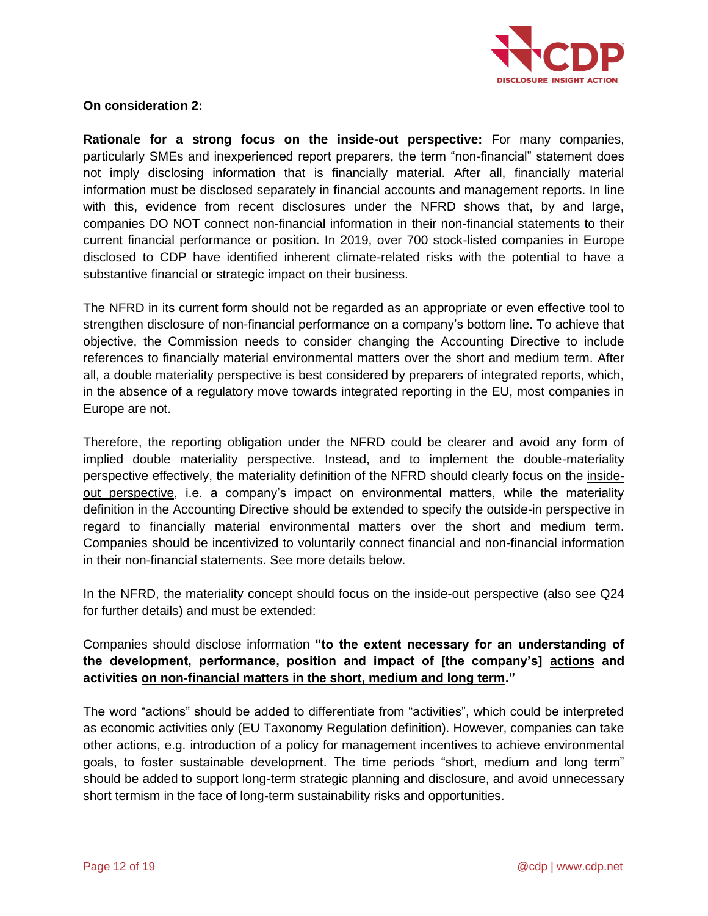

#### **On consideration 2:**

**Rationale for a strong focus on the inside-out perspective:** For many companies, particularly SMEs and inexperienced report preparers, the term "non-financial" statement does not imply disclosing information that is financially material. After all, financially material information must be disclosed separately in financial accounts and management reports. In line with this, evidence from recent disclosures under the NFRD shows that, by and large, companies DO NOT connect non-financial information in their non-financial statements to their current financial performance or position. In 2019, over 700 stock-listed companies in Europe disclosed to CDP have identified inherent climate-related risks with the potential to have a substantive financial or strategic impact on their business.

The NFRD in its current form should not be regarded as an appropriate or even effective tool to strengthen disclosure of non-financial performance on a company's bottom line. To achieve that objective, the Commission needs to consider changing the Accounting Directive to include references to financially material environmental matters over the short and medium term. After all, a double materiality perspective is best considered by preparers of integrated reports, which, in the absence of a regulatory move towards integrated reporting in the EU, most companies in Europe are not.

Therefore, the reporting obligation under the NFRD could be clearer and avoid any form of implied double materiality perspective. Instead, and to implement the double-materiality perspective effectively, the materiality definition of the NFRD should clearly focus on the insideout perspective, i.e. a company's impact on environmental matters, while the materiality definition in the Accounting Directive should be extended to specify the outside-in perspective in regard to financially material environmental matters over the short and medium term. Companies should be incentivized to voluntarily connect financial and non-financial information in their non-financial statements. See more details below.

In the NFRD, the materiality concept should focus on the inside-out perspective (also see Q24 for further details) and must be extended:

### Companies should disclose information **"to the extent necessary for an understanding of the development, performance, position and impact of [the company's] actions and activities on non-financial matters in the short, medium and long term."**

The word "actions" should be added to differentiate from "activities", which could be interpreted as economic activities only (EU Taxonomy Regulation definition). However, companies can take other actions, e.g. introduction of a policy for management incentives to achieve environmental goals, to foster sustainable development. The time periods "short, medium and long term" should be added to support long-term strategic planning and disclosure, and avoid unnecessary short termism in the face of long-term sustainability risks and opportunities.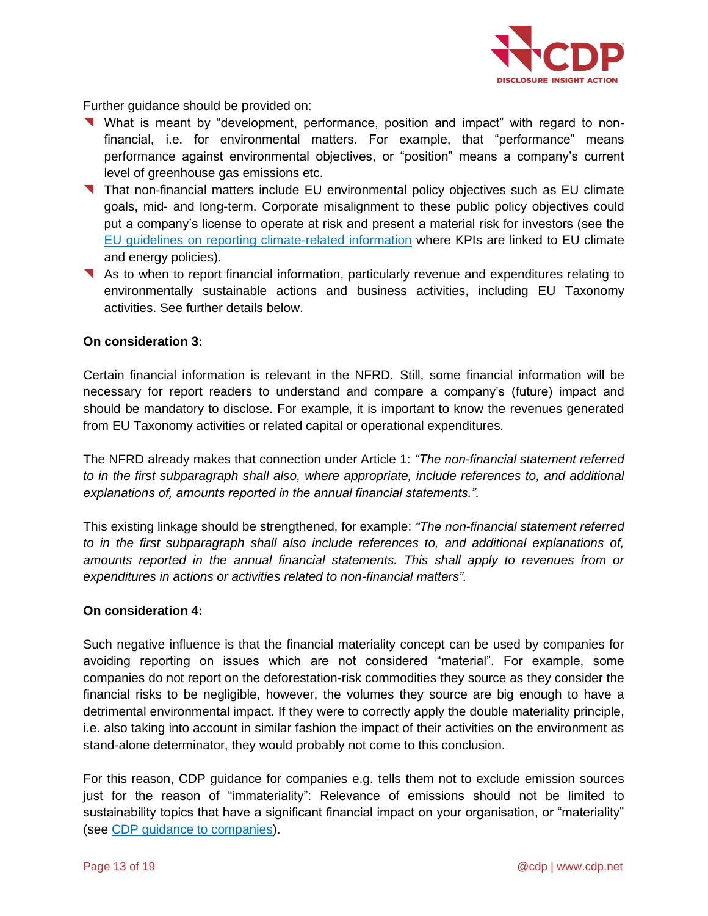

Further guidance should be provided on:

- What is meant by "development, performance, position and impact" with regard to nonfinancial, i.e. for environmental matters. For example, that "performance" means performance against environmental objectives, or "position" means a company's current level of greenhouse gas emissions etc.
- That non-financial matters include EU environmental policy objectives such as EU climate goals, mid- and long-term. Corporate misalignment to these public policy objectives could put a company's license to operate at risk and present a material risk for investors (see the [EU guidelines on reporting climate-related information](https://ec.europa.eu/finance/docs/policy/190618-climate-related-information-reporting-guidelines_en.pdf) where KPIs are linked to EU climate and energy policies).
- As to when to report financial information, particularly revenue and expenditures relating to environmentally sustainable actions and business activities, including EU Taxonomy activities. See further details below.

#### **On consideration 3:**

Certain financial information is relevant in the NFRD. Still, some financial information will be necessary for report readers to understand and compare a company's (future) impact and should be mandatory to disclose. For example, it is important to know the revenues generated from EU Taxonomy activities or related capital or operational expenditures.

The NFRD already makes that connection under Article 1: *"The non-financial statement referred to in the first subparagraph shall also, where appropriate, include references to, and additional explanations of, amounts reported in the annual financial statements.".*

This existing linkage should be strengthened, for example: *"The non-financial statement referred to in the first subparagraph shall also include references to, and additional explanations of, amounts reported in the annual financial statements. This shall apply to revenues from or expenditures in actions or activities related to non-financial matters".*

#### **On consideration 4:**

Such negative influence is that the financial materiality concept can be used by companies for avoiding reporting on issues which are not considered "material". For example, some companies do not report on the deforestation-risk commodities they source as they consider the financial risks to be negligible, however, the volumes they source are big enough to have a detrimental environmental impact. If they were to correctly apply the double materiality principle, i.e. also taking into account in similar fashion the impact of their activities on the environment as stand-alone determinator, they would probably not come to this conclusion.

For this reason, CDP guidance for companies e.g. tells them not to exclude emission sources just for the reason of "immateriality": Relevance of emissions should not be limited to sustainability topics that have a significant financial impact on your organisation, or "materiality" (see [CDP guidance to companies\)](https://guidance.cdp.net/en/guidance?cid=13&ctype=theme&idtype=ThemeID&incchild=1µsite=0&otype=Guidance&tags=TAG-646%2CTAG-605%2CTAG-600).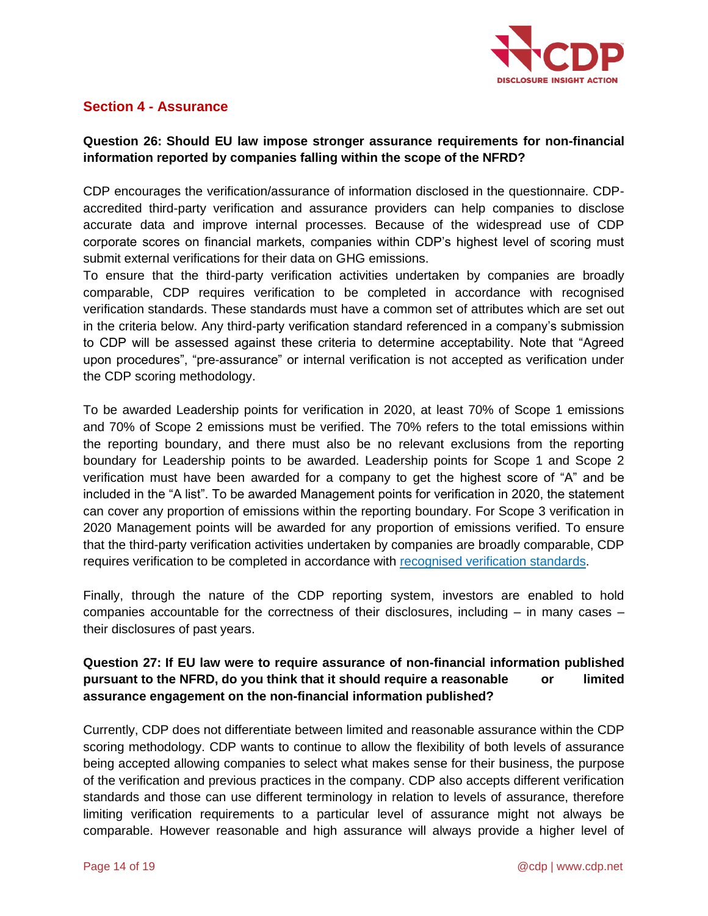

# **Section 4 - Assurance**

### **Question 26: Should EU law impose stronger assurance requirements for non-financial information reported by companies falling within the scope of the NFRD?**

CDP encourages the verification/assurance of information disclosed in the questionnaire. CDPaccredited third-party verification and assurance providers can help companies to disclose accurate data and improve internal processes. Because of the widespread use of CDP corporate scores on financial markets, companies within CDP's highest level of scoring must submit external verifications for their data on GHG emissions.

To ensure that the third-party verification activities undertaken by companies are broadly comparable, CDP requires verification to be completed in accordance with recognised verification standards. These standards must have a common set of attributes which are set out in the criteria below. Any third-party verification standard referenced in a company's submission to CDP will be assessed against these criteria to determine acceptability. Note that "Agreed upon procedures", "pre-assurance" or internal verification is not accepted as verification under the CDP scoring methodology.

To be awarded Leadership points for verification in 2020, at least 70% of Scope 1 emissions and 70% of Scope 2 emissions must be verified. The 70% refers to the total emissions within the reporting boundary, and there must also be no relevant exclusions from the reporting boundary for Leadership points to be awarded. Leadership points for Scope 1 and Scope 2 verification must have been awarded for a company to get the highest score of "A" and be included in the "A list". To be awarded Management points for verification in 2020, the statement can cover any proportion of emissions within the reporting boundary. For Scope 3 verification in 2020 Management points will be awarded for any proportion of emissions verified. To ensure that the third-party verification activities undertaken by companies are broadly comparable, CDP requires verification to be completed in accordance with [recognised verification standards.](https://www.cdp.net/en/guidance/verification)

Finally, through the nature of the CDP reporting system, investors are enabled to hold companies accountable for the correctness of their disclosures, including – in many cases – their disclosures of past years.

## **Question 27: If EU law were to require assurance of non-financial information published pursuant to the NFRD, do you think that it should require a reasonable or limited assurance engagement on the non-financial information published?**

Currently, CDP does not differentiate between limited and reasonable assurance within the CDP scoring methodology. CDP wants to continue to allow the flexibility of both levels of assurance being accepted allowing companies to select what makes sense for their business, the purpose of the verification and previous practices in the company. CDP also accepts different verification standards and those can use different terminology in relation to levels of assurance, therefore limiting verification requirements to a particular level of assurance might not always be comparable. However reasonable and high assurance will always provide a higher level of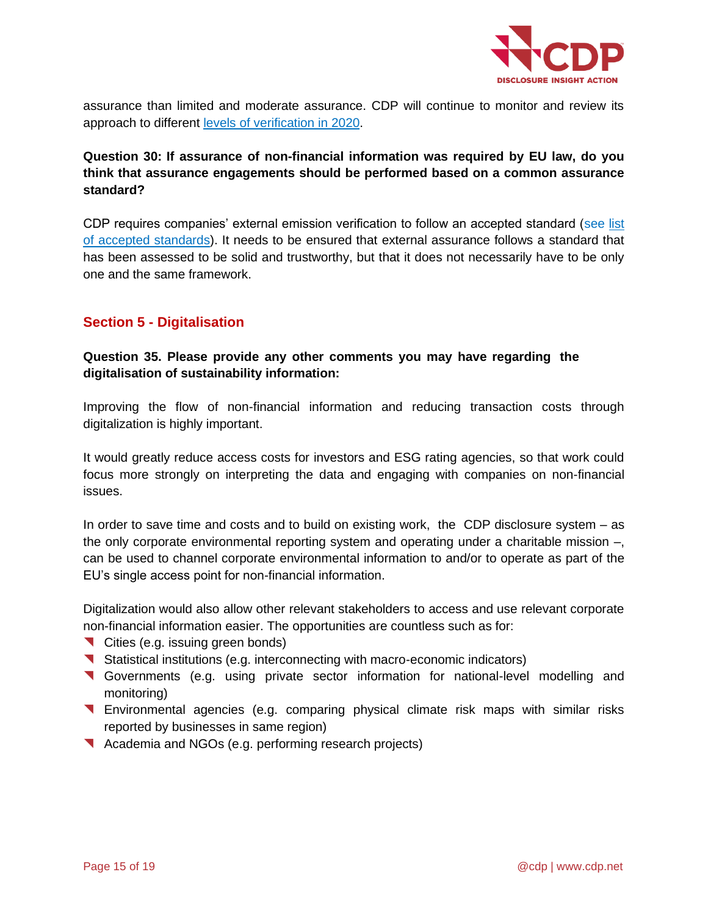

assurance than limited and moderate assurance. CDP will continue to monitor and review its approach to different [levels of verification in 2020.](https://b8f65cb373b1b7b15feb-c70d8ead6ced550b4d987d7c03fcdd1d.ssl.cf3.rackcdn.com/cms/guidance_docs/pdfs/000/000/490/original/CDP-and-verification-partners-FAQ.pdf?)

### **Question 30: If assurance of non-financial information was required by EU law, do you think that assurance engagements should be performed based on a common assurance standard?**

CDP requires companies' external emission verification to follow an accepted standard (see [list](https://www.cdp.net/en/guidance/verification)  [of accepted standards\)](https://www.cdp.net/en/guidance/verification). It needs to be ensured that external assurance follows a standard that has been assessed to be solid and trustworthy, but that it does not necessarily have to be only one and the same framework.

# **Section 5 - Digitalisation**

# **Question 35. Please provide any other comments you may have regarding the digitalisation of sustainability information:**

Improving the flow of non-financial information and reducing transaction costs through digitalization is highly important.

It would greatly reduce access costs for investors and ESG rating agencies, so that work could focus more strongly on interpreting the data and engaging with companies on non-financial issues.

In order to save time and costs and to build on existing work, the CDP disclosure system – as the only corporate environmental reporting system and operating under a charitable mission –, can be used to channel corporate environmental information to and/or to operate as part of the EU's single access point for non-financial information.

Digitalization would also allow other relevant stakeholders to access and use relevant corporate non-financial information easier. The opportunities are countless such as for:

- Cities (e.g. issuing green bonds)
- Statistical institutions (e.g. interconnecting with macro-economic indicators)
- Governments (e.g. using private sector information for national-level modelling and monitoring)
- Environmental agencies (e.g. comparing physical climate risk maps with similar risks reported by businesses in same region)
- Academia and NGOs (e.g. performing research projects)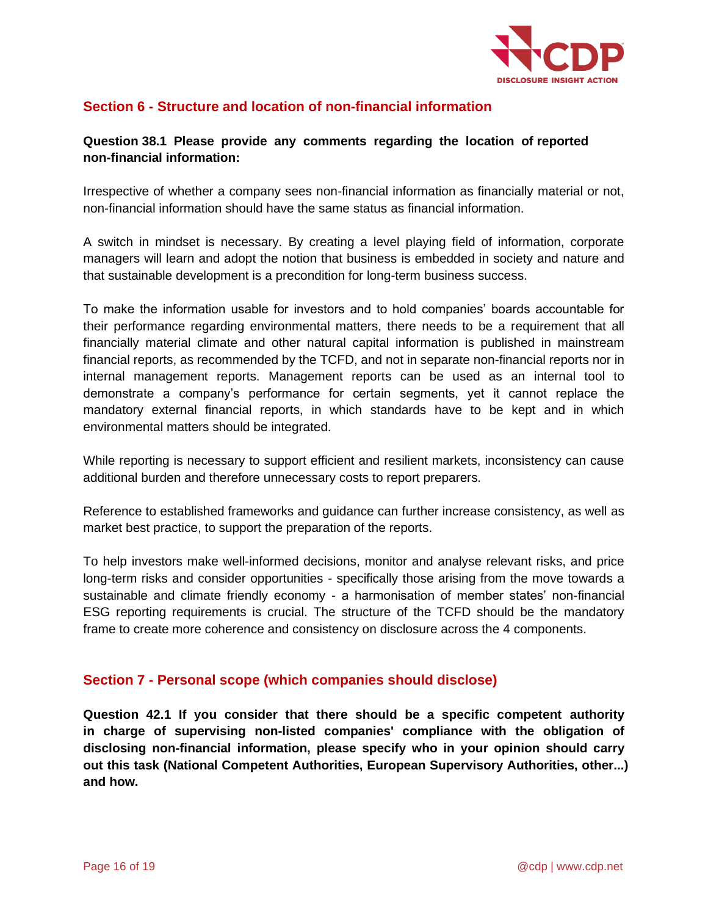

# **Section 6 - Structure and location of non-financial information**

#### **Question 38.1 Please provide any comments regarding the location of reported non-financial information:**

Irrespective of whether a company sees non-financial information as financially material or not, non-financial information should have the same status as financial information.

A switch in mindset is necessary. By creating a level playing field of information, corporate managers will learn and adopt the notion that business is embedded in society and nature and that sustainable development is a precondition for long-term business success.

To make the information usable for investors and to hold companies' boards accountable for their performance regarding environmental matters, there needs to be a requirement that all financially material climate and other natural capital information is published in mainstream financial reports, as recommended by the TCFD, and not in separate non-financial reports nor in internal management reports. Management reports can be used as an internal tool to demonstrate a company's performance for certain segments, yet it cannot replace the mandatory external financial reports, in which standards have to be kept and in which environmental matters should be integrated.

While reporting is necessary to support efficient and resilient markets, inconsistency can cause additional burden and therefore unnecessary costs to report preparers.

Reference to established frameworks and guidance can further increase consistency, as well as market best practice, to support the preparation of the reports.

To help investors make well-informed decisions, monitor and analyse relevant risks, and price long-term risks and consider opportunities - specifically those arising from the move towards a sustainable and climate friendly economy - a harmonisation of member states' non-financial ESG reporting requirements is crucial. The structure of the TCFD should be the mandatory frame to create more coherence and consistency on disclosure across the 4 components.

#### **Section 7 - Personal scope (which companies should disclose)**

**Question 42.1 If you consider that there should be a specific competent authority in charge of supervising non-listed companies' compliance with the obligation of disclosing non-financial information, please specify who in your opinion should carry out this task (National Competent Authorities, European Supervisory Authorities, other...) and how.**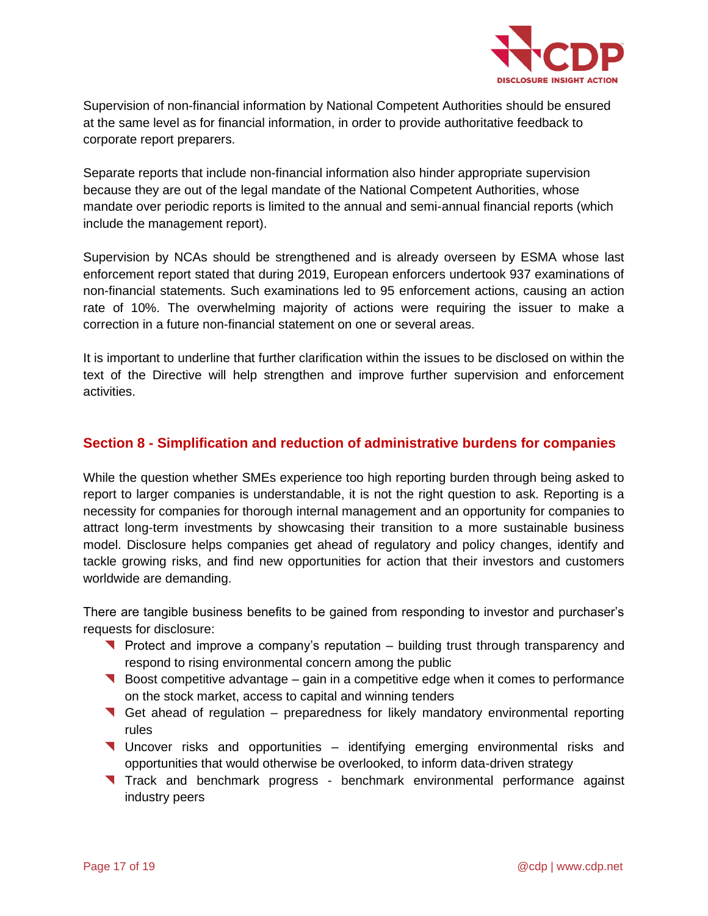

Supervision of non-financial information by National Competent Authorities should be ensured at the same level as for financial information, in order to provide authoritative feedback to corporate report preparers.

Separate reports that include non-financial information also hinder appropriate supervision because they are out of the legal mandate of the National Competent Authorities, whose mandate over periodic reports is limited to the annual and semi-annual financial reports (which include the management report).

Supervision by NCAs should be strengthened and is already overseen by ESMA whose last enforcement report stated that during 2019, European enforcers undertook 937 examinations of non-financial statements. Such examinations led to 95 enforcement actions, causing an action rate of 10%. The overwhelming majority of actions were requiring the issuer to make a correction in a future non-financial statement on one or several areas.

It is important to underline that further clarification within the issues to be disclosed on within the text of the Directive will help strengthen and improve further supervision and enforcement activities.

# **Section 8 - Simplification and reduction of administrative burdens for companies**

While the question whether SMEs experience too high reporting burden through being asked to report to larger companies is understandable, it is not the right question to ask. Reporting is a necessity for companies for thorough internal management and an opportunity for companies to attract long-term investments by showcasing their transition to a more sustainable business model. Disclosure helps companies get ahead of regulatory and policy changes, identify and tackle growing risks, and find new opportunities for action that their investors and customers worldwide are demanding.

There are tangible business benefits to be gained from responding to investor and purchaser's requests for disclosure:

- **Protect and improve a company's reputation** building trust through transparency and respond to rising environmental concern among the public
- Boost competitive advantage gain in a competitive edge when it comes to performance on the stock market, access to capital and winning tenders
- Get ahead of regulation preparedness for likely mandatory environmental reporting rules
- Uncover risks and opportunities identifying emerging environmental risks and opportunities that would otherwise be overlooked, to inform data-driven strategy
- Track and benchmark progress benchmark environmental performance against industry peers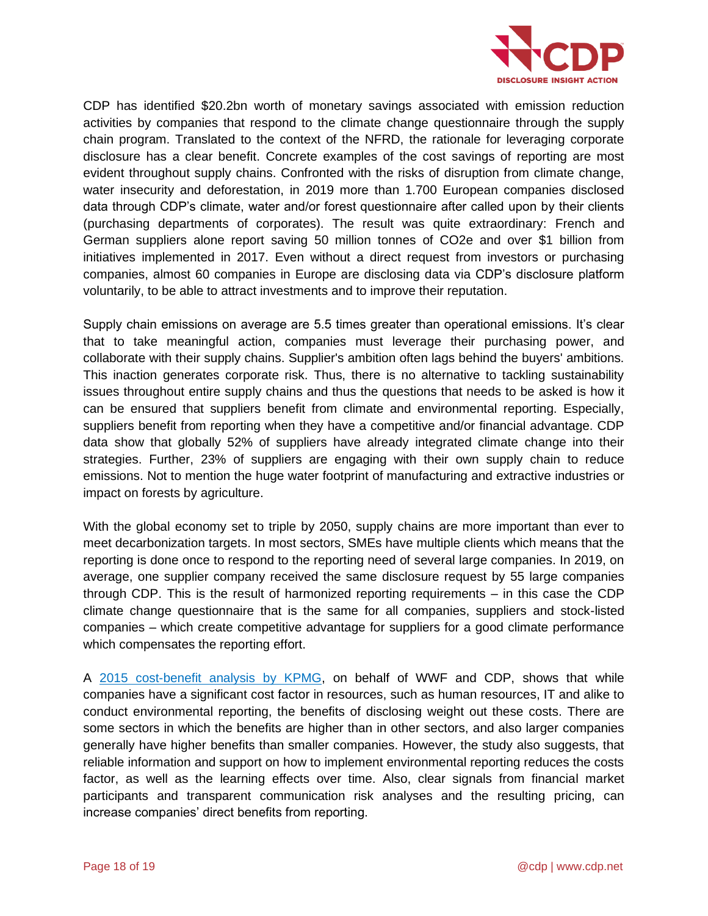

CDP has identified \$20.2bn worth of monetary savings associated with emission reduction activities by companies that respond to the climate change questionnaire through the supply chain program. Translated to the context of the NFRD, the rationale for leveraging corporate disclosure has a clear benefit. Concrete examples of the cost savings of reporting are most evident throughout supply chains. Confronted with the risks of disruption from climate change, water insecurity and deforestation, in 2019 more than 1.700 European companies disclosed data through CDP's climate, water and/or forest questionnaire after called upon by their clients (purchasing departments of corporates). The result was quite extraordinary: French and German suppliers alone report saving 50 million tonnes of CO2e and over \$1 billion from initiatives implemented in 2017. Even without a direct request from investors or purchasing companies, almost 60 companies in Europe are disclosing data via CDP's disclosure platform voluntarily, to be able to attract investments and to improve their reputation.

Supply chain emissions on average are 5.5 times greater than operational emissions. It's clear that to take meaningful action, companies must leverage their purchasing power, and collaborate with their supply chains. Supplier's ambition often lags behind the buyers' ambitions. This inaction generates corporate risk. Thus, there is no alternative to tackling sustainability issues throughout entire supply chains and thus the questions that needs to be asked is how it can be ensured that suppliers benefit from climate and environmental reporting. Especially, suppliers benefit from reporting when they have a competitive and/or financial advantage. CDP data show that globally 52% of suppliers have already integrated climate change into their strategies. Further, 23% of suppliers are engaging with their own supply chain to reduce emissions. Not to mention the huge water footprint of manufacturing and extractive industries or impact on forests by agriculture.

With the global economy set to triple by 2050, supply chains are more important than ever to meet decarbonization targets. In most sectors, SMEs have multiple clients which means that the reporting is done once to respond to the reporting need of several large companies. In 2019, on average, one supplier company received the same disclosure request by 55 large companies through CDP. This is the result of harmonized reporting requirements – in this case the CDP climate change questionnaire that is the same for all companies, suppliers and stock-listed companies – which create competitive advantage for suppliers for a good climate performance which compensates the reporting effort.

A [2015 cost-benefit analysis by KPMG,](https://atlas.kpmg.de/api/assets/content/public/knowledge-center/download-klimareporting-mehr-wert-1498064136727.pdf) on behalf of WWF and CDP, shows that while companies have a significant cost factor in resources, such as human resources, IT and alike to conduct environmental reporting, the benefits of disclosing weight out these costs. There are some sectors in which the benefits are higher than in other sectors, and also larger companies generally have higher benefits than smaller companies. However, the study also suggests, that reliable information and support on how to implement environmental reporting reduces the costs factor, as well as the learning effects over time. Also, clear signals from financial market participants and transparent communication risk analyses and the resulting pricing, can increase companies' direct benefits from reporting.